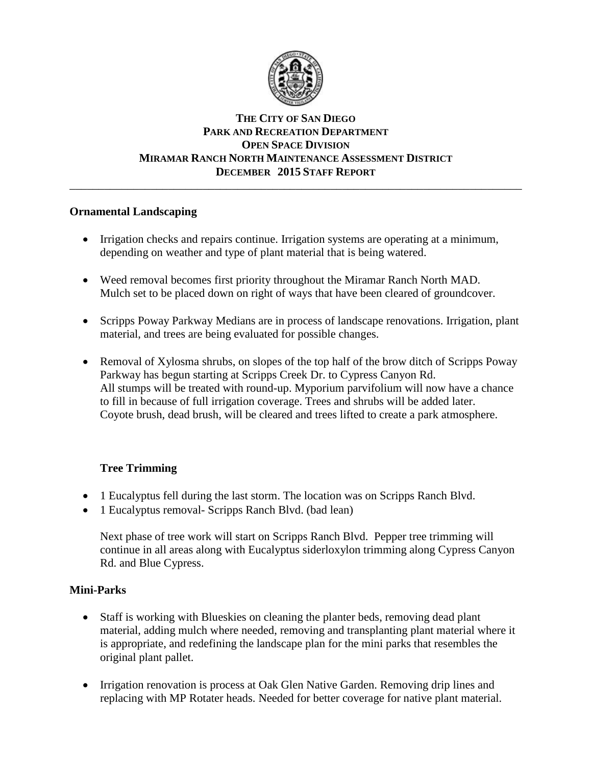

#### **THE CITY OF SAN DIEGO PARK AND RECREATION DEPARTMENT OPEN SPACE DIVISION MIRAMAR RANCH NORTH MAINTENANCE ASSESSMENT DISTRICT DECEMBER 2015 STAFF REPORT** \_\_\_\_\_\_\_\_\_\_\_\_\_\_\_\_\_\_\_\_\_\_\_\_\_\_\_\_\_\_\_\_\_\_\_\_\_\_\_\_\_\_\_\_\_\_\_\_\_\_\_\_\_\_\_\_\_\_\_\_\_\_\_\_\_\_\_\_\_\_\_\_\_\_\_\_\_\_

### **Ornamental Landscaping**

- Irrigation checks and repairs continue. Irrigation systems are operating at a minimum, depending on weather and type of plant material that is being watered.
- Weed removal becomes first priority throughout the Miramar Ranch North MAD. Mulch set to be placed down on right of ways that have been cleared of groundcover.
- Scripps Poway Parkway Medians are in process of landscape renovations. Irrigation, plant material, and trees are being evaluated for possible changes.
- Removal of Xylosma shrubs, on slopes of the top half of the brow ditch of Scripps Poway Parkway has begun starting at Scripps Creek Dr. to Cypress Canyon Rd. All stumps will be treated with round-up. Myporium parvifolium will now have a chance to fill in because of full irrigation coverage. Trees and shrubs will be added later. Coyote brush, dead brush, will be cleared and trees lifted to create a park atmosphere.

# **Tree Trimming**

- 1 Eucalyptus fell during the last storm. The location was on Scripps Ranch Blvd.
- 1 Eucalyptus removal- Scripps Ranch Blvd. (bad lean)

Next phase of tree work will start on Scripps Ranch Blvd. Pepper tree trimming will continue in all areas along with Eucalyptus siderloxylon trimming along Cypress Canyon Rd. and Blue Cypress.

# **Mini-Parks**

- Staff is working with Blueskies on cleaning the planter beds, removing dead plant material, adding mulch where needed, removing and transplanting plant material where it is appropriate, and redefining the landscape plan for the mini parks that resembles the original plant pallet.
- Irrigation renovation is process at Oak Glen Native Garden. Removing drip lines and replacing with MP Rotater heads. Needed for better coverage for native plant material.